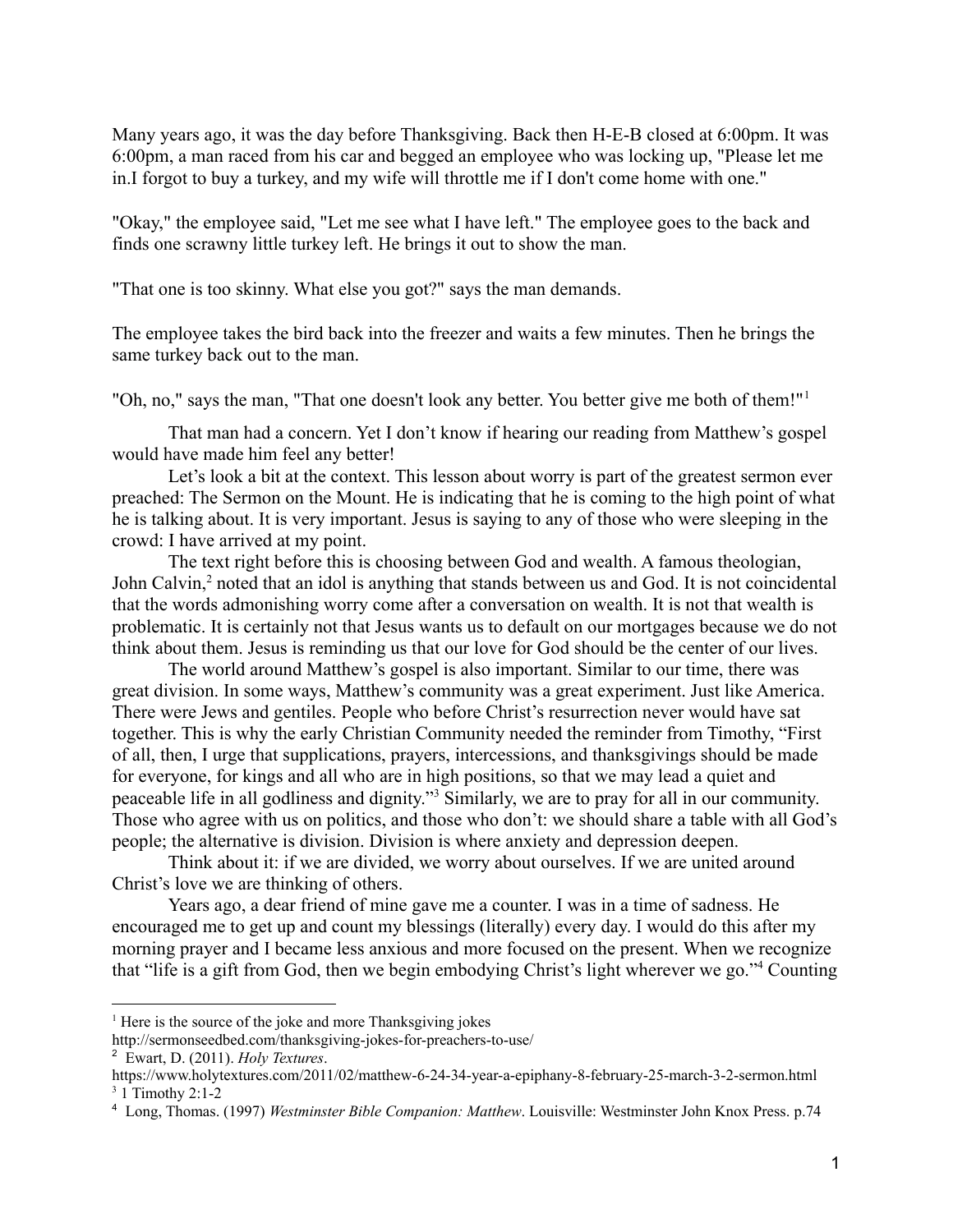Many years ago, it was the day before Thanksgiving. Back then H-E-B closed at 6:00pm. It was 6:00pm, a man raced from his car and begged an employee who was locking up, "Please let me in.I forgot to buy a turkey, and my wife will throttle me if I don't come home with one."

"Okay," the employee said, "Let me see what I have left." The employee goes to the back and finds one scrawny little turkey left. He brings it out to show the man.

"That one is too skinny. What else you got?" says the man demands.

The employee takes the bird back into the freezer and waits a few minutes. Then he brings the same turkey back out to the man.

"Oh, no," says the man, "That one doesn't look any better. You better give me both of them!"<sup>1</sup>

That man had a concern. Yet I don't know if hearing our reading from Matthew's gospel would have made him feel any better!

Let's look a bit at the context. This lesson about worry is part of the greatest sermon ever preached: The Sermon on the Mount. He is indicating that he is coming to the high point of what he is talking about. It is very important. Jesus is saying to any of those who were sleeping in the crowd: I have arrived at my point.

The text right before this is choosing between God and wealth. A famous theologian, John Calvin,<sup>2</sup> noted that an idol is anything that stands between us and God. It is not coincidental that the words admonishing worry come after a conversation on wealth. It is not that wealth is problematic. It is certainly not that Jesus wants us to default on our mortgages because we do not think about them. Jesus is reminding us that our love for God should be the center of our lives.

The world around Matthew's gospel is also important. Similar to our time, there was great division. In some ways, Matthew's community was a great experiment. Just like America. There were Jews and gentiles. People who before Christ's resurrection never would have sat together. This is why the early Christian Community needed the reminder from Timothy, "First of all, then, I urge that supplications, prayers, intercessions, and thanksgivings should be made for everyone, for kings and all who are in high positions, so that we may lead a quiet and peaceable life in all godliness and dignity."<sup>3</sup> Similarly, we are to pray for all in our community. Those who agree with us on politics, and those who don't: we should share a table with all God's people; the alternative is division. Division is where anxiety and depression deepen.

Think about it: if we are divided, we worry about ourselves. If we are united around Christ's love we are thinking of others.

Years ago, a dear friend of mine gave me a counter. I was in a time of sadness. He encouraged me to get up and count my blessings (literally) every day. I would do this after my morning prayer and I became less anxious and more focused on the present. When we recognize that "life is a gift from God, then we begin embodying Christ's light wherever we go."<sup>4</sup> Counting

<sup>&</sup>lt;sup>1</sup> Here is the source of the joke and more Thanksgiving jokes

http://sermonseedbed.com/thanksgiving-jokes-for-preachers-to-use/

<sup>2</sup> Ewart, D. (2011). *Holy Textures*.

 $3$  1 Timothy 2:1-2 https://www.holytextures.com/2011/02/matthew-6-24-34-year-a-epiphany-8-february-25-march-3-2-sermon.html

<sup>4</sup> Long, Thomas. (1997) *Westminster Bible Companion: Matthew*. Louisville: Westminster John Knox Press. p.74